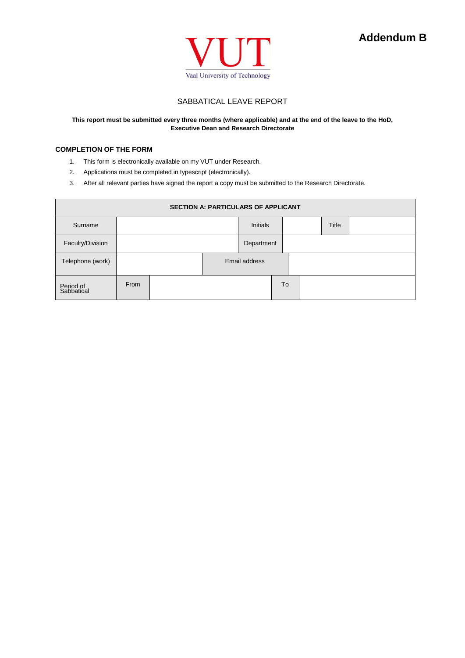



## SABBATICAL LEAVE REPORT

### **This report must be submitted every three months (where applicable) and at the end of the leave to the HoD, Executive Dean and Research Directorate**

### **COMPLETION OF THE FORM**

- 1. This form is electronically available on my VUT under Research.
- 2. Applications must be completed in typescript (electronically).
- 3. After all relevant parties have signed the report a copy must be submitted to the Research Directorate.

| <b>SECTION A: PARTICULARS OF APPLICANT</b> |      |  |                 |               |    |              |  |  |
|--------------------------------------------|------|--|-----------------|---------------|----|--------------|--|--|
| Surname                                    |      |  | <b>Initials</b> |               |    | <b>Title</b> |  |  |
| Faculty/Division                           |      |  |                 | Department    |    |              |  |  |
| Telephone (work)                           |      |  |                 | Email address |    |              |  |  |
| Period of<br>Sabbatical                    | From |  |                 |               | To |              |  |  |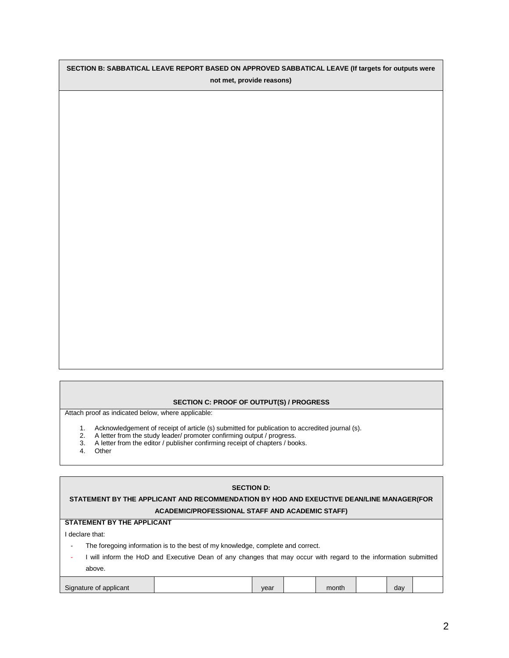# **SECTION B: SABBATICAL LEAVE REPORT BASED ON APPROVED SABBATICAL LEAVE (If targets for outputs were not met, provide reasons)**

#### **SECTION C: PROOF OF OUTPUT(S) / PROGRESS**

Attach proof as indicated below, where applicable:

- 1. Acknowledgement of receipt of article (s) submitted for publication to accredited journal (s).
- 2. A letter from the study leader/ promoter confirming output / progress.
- 3. A letter from the editor / publisher confirming receipt of chapters / books.
- **Other**

#### **SECTION D:**

## **STATEMENT BY THE APPLICANT AND RECOMMENDATION BY HOD AND EXEUCTIVE DEAN/LINE MANAGER(FOR ACADEMIC/PROFESSIONAL STAFF AND ACADEMIC STAFF)**

#### **STATEMENT BY THE APPLICANT**

I declare that:

- The foregoing information is to the best of my knowledge, complete and correct.
- I will inform the HoD and Executive Dean of any changes that may occur with regard to the information submitted above.

| Sinn.<br>plicant | $\sqrt{2}$<br>$\cdot$ | month | do.<br>ua |  |
|------------------|-----------------------|-------|-----------|--|